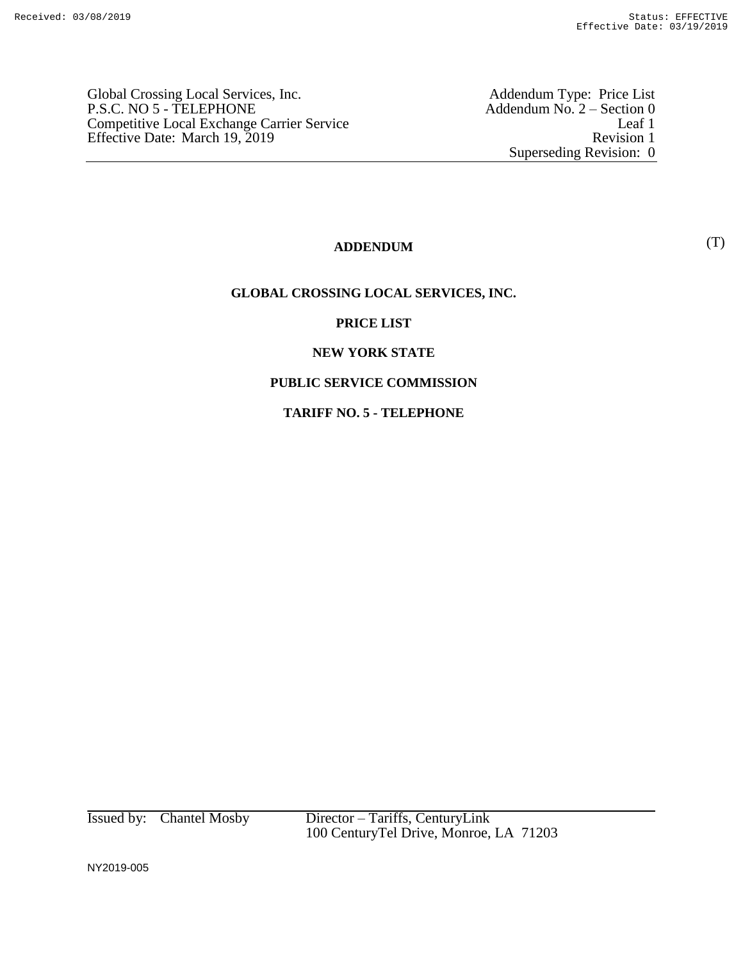Global Crossing Local Services, Inc.<br>P.S.C. NO 5 - TELEPHONE Competitive Local Exchange Carrier Service Effective Date: March 19, 2019 Revision 1

Addendum Type: Price List<br>Addendum No. 2 – Section 0<br>Leaf 1 Superseding Revision: 0

# **ADDENDUM**

### **GLOBAL CROSSING LOCAL SERVICES, INC.**

## **PRICE LIST**

### **NEW YORK STATE**

## **PUBLIC SERVICE COMMISSION**

#### **TARIFF NO. 5 - TELEPHONE**

Issued by: Chantel Mosby Director – Tariffs, CenturyLink 100 CenturyTel Drive, Monroe, LA 71203

NY2019-005

(T)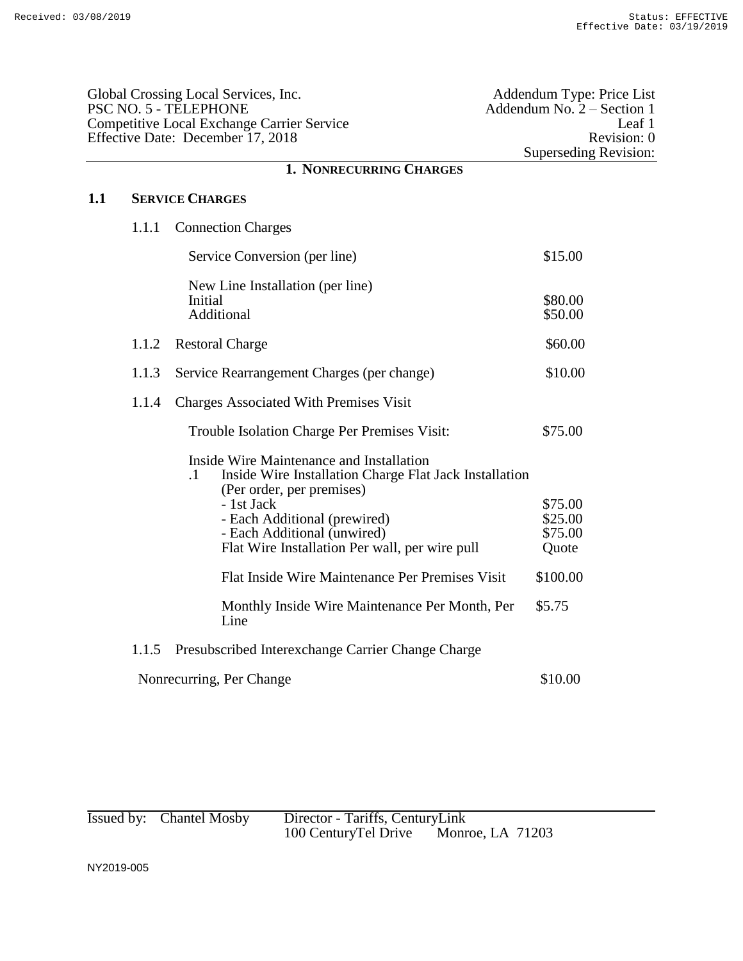| Global Crossing Local Services, Inc.<br>PSC NO. 5 - TELEPHONE<br><b>Competitive Local Exchange Carrier Service</b><br>Effective Date: December 17, 2018 |       |                                                                                                                                                                                                                                                                                                                                | Addendum Type: Price List<br>Addendum No. $2 -$ Section 1<br>Leaf 1<br>Revision: 0<br><b>Superseding Revision:</b> |
|---------------------------------------------------------------------------------------------------------------------------------------------------------|-------|--------------------------------------------------------------------------------------------------------------------------------------------------------------------------------------------------------------------------------------------------------------------------------------------------------------------------------|--------------------------------------------------------------------------------------------------------------------|
|                                                                                                                                                         |       | <b>1. NONRECURRING CHARGES</b>                                                                                                                                                                                                                                                                                                 |                                                                                                                    |
| 1.1                                                                                                                                                     |       | <b>SERVICE CHARGES</b>                                                                                                                                                                                                                                                                                                         |                                                                                                                    |
|                                                                                                                                                         | 1.1.1 | <b>Connection Charges</b>                                                                                                                                                                                                                                                                                                      |                                                                                                                    |
|                                                                                                                                                         |       | Service Conversion (per line)                                                                                                                                                                                                                                                                                                  | \$15.00                                                                                                            |
|                                                                                                                                                         |       | New Line Installation (per line)<br>Initial<br>Additional                                                                                                                                                                                                                                                                      | \$80.00<br>\$50.00                                                                                                 |
|                                                                                                                                                         | 1.1.2 | <b>Restoral Charge</b>                                                                                                                                                                                                                                                                                                         | \$60.00                                                                                                            |
|                                                                                                                                                         | 1.1.3 | Service Rearrangement Charges (per change)                                                                                                                                                                                                                                                                                     | \$10.00                                                                                                            |
|                                                                                                                                                         | 1.1.4 | <b>Charges Associated With Premises Visit</b>                                                                                                                                                                                                                                                                                  |                                                                                                                    |
|                                                                                                                                                         |       | Trouble Isolation Charge Per Premises Visit:                                                                                                                                                                                                                                                                                   | \$75.00                                                                                                            |
|                                                                                                                                                         |       | Inside Wire Maintenance and Installation<br>$\cdot$ 1<br>Inside Wire Installation Charge Flat Jack Installation<br>(Per order, per premises)<br>- 1st Jack<br>- Each Additional (prewired)<br>- Each Additional (unwired)<br>Flat Wire Installation Per wall, per wire pull<br>Flat Inside Wire Maintenance Per Premises Visit | \$75.00<br>\$25.00<br>\$75.00<br>Quote<br>\$100.00                                                                 |
|                                                                                                                                                         |       | Monthly Inside Wire Maintenance Per Month, Per<br>Line                                                                                                                                                                                                                                                                         | \$5.75                                                                                                             |
|                                                                                                                                                         | 1.1.5 | Presubscribed Interexchange Carrier Change Charge                                                                                                                                                                                                                                                                              |                                                                                                                    |
|                                                                                                                                                         |       | Nonrecurring, Per Change                                                                                                                                                                                                                                                                                                       | \$10.00                                                                                                            |
|                                                                                                                                                         |       |                                                                                                                                                                                                                                                                                                                                |                                                                                                                    |

| Issued by: Chantel Mosby | Director - Tariffs, CenturyLink |                         |  |
|--------------------------|---------------------------------|-------------------------|--|
|                          | 100 Century Tel Drive           | <b>Monroe, LA 71203</b> |  |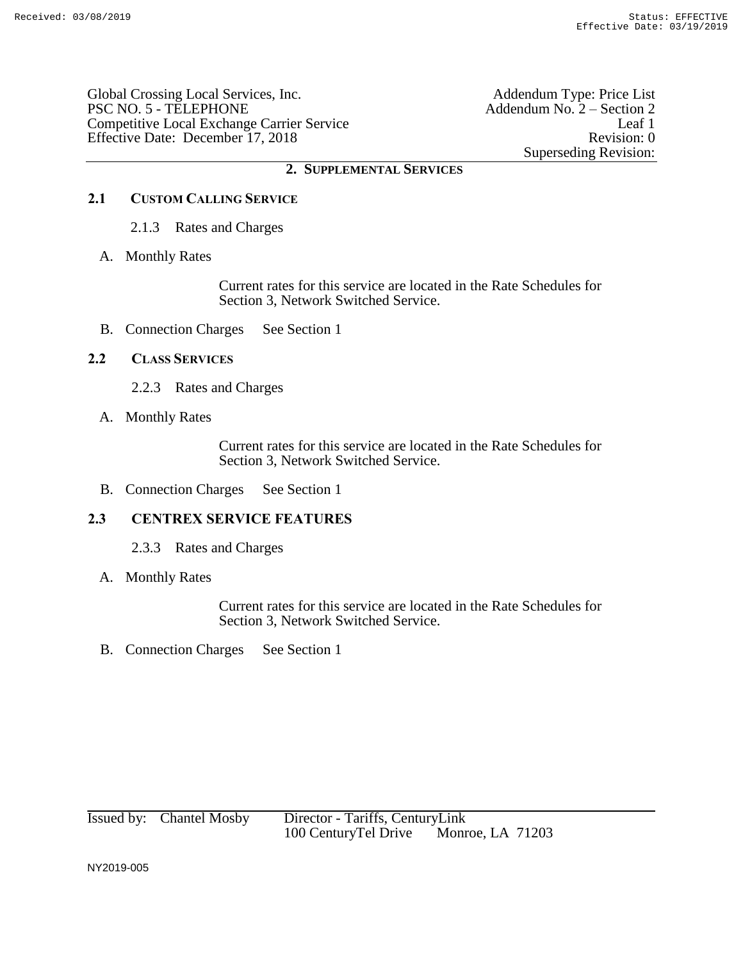Global Crossing Local Services, Inc. Addendum Type: Price List PSC NO. 5 - TELEPHONE Addendum No. 2 – Section 2 Competitive Local Exchange Carrier Service Leaf 1 Effective Date: December 17, 2018 Revision: 0

Superseding Revision:

## **2. SUPPLEMENTAL SERVICES**

# **2.1 CUSTOM CALLING SERVICE**

- 2.1.3 Rates and Charges
- A. Monthly Rates

Current rates for this service are located in the Rate Schedules for Section 3, Network Switched Service.

B. Connection Charges See Section 1

## **2.2 CLASS SERVICES**

- 2.2.3 Rates and Charges
- A. Monthly Rates

Current rates for this service are located in the Rate Schedules for Section 3, Network Switched Service.

B. Connection Charges See Section 1

## **2.3 CENTREX SERVICE FEATURES**

- 2.3.3 Rates and Charges
- A. Monthly Rates

Current rates for this service are located in the Rate Schedules for Section 3, Network Switched Service.

B. Connection Charges See Section 1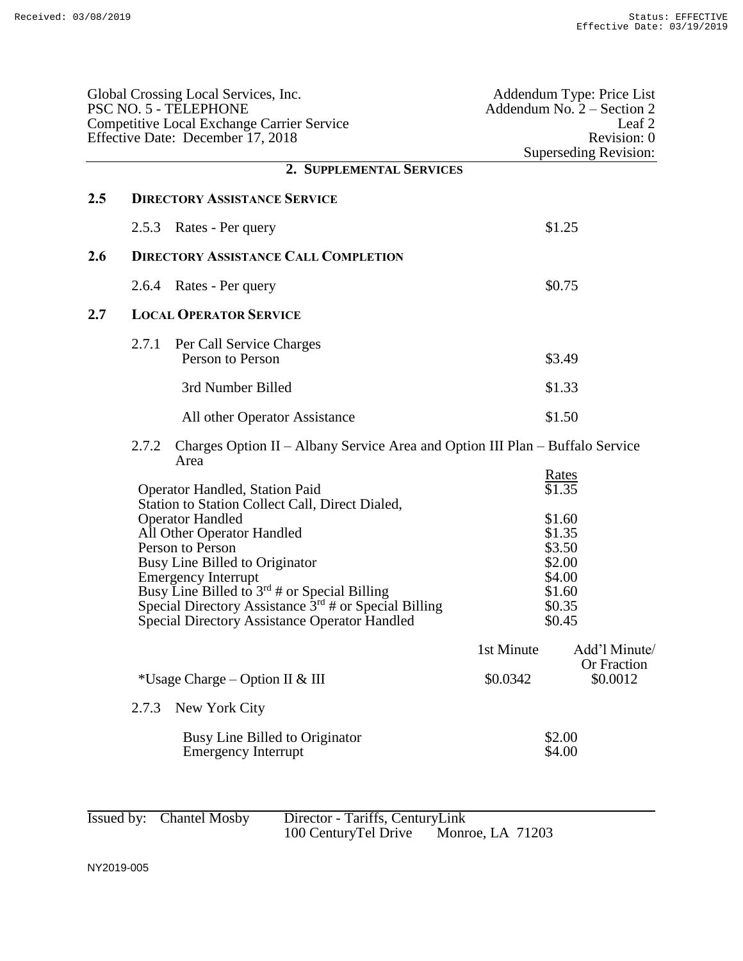|     |       | Global Crossing Local Services, Inc.<br>PSC NO. 5 - TELEPHONE<br><b>Competitive Local Exchange Carrier Service</b><br>Effective Date: December 17, 2018                                                                                                                                                                                                                                                       |            | Addendum Type: Price List<br>Addendum No. $2 -$ Section 2<br>Leaf 2<br>Revision: 0<br><b>Superseding Revision:</b> |
|-----|-------|---------------------------------------------------------------------------------------------------------------------------------------------------------------------------------------------------------------------------------------------------------------------------------------------------------------------------------------------------------------------------------------------------------------|------------|--------------------------------------------------------------------------------------------------------------------|
|     |       | 2. SUPPLEMENTAL SERVICES                                                                                                                                                                                                                                                                                                                                                                                      |            |                                                                                                                    |
| 2.5 |       | <b>DIRECTORY ASSISTANCE SERVICE</b>                                                                                                                                                                                                                                                                                                                                                                           |            |                                                                                                                    |
|     | 2.5.3 | Rates - Per query                                                                                                                                                                                                                                                                                                                                                                                             |            | \$1.25                                                                                                             |
| 2.6 |       | <b>DIRECTORY ASSISTANCE CALL COMPLETION</b>                                                                                                                                                                                                                                                                                                                                                                   |            |                                                                                                                    |
|     | 2.6.4 | Rates - Per query                                                                                                                                                                                                                                                                                                                                                                                             |            | \$0.75                                                                                                             |
| 2.7 |       | <b>LOCAL OPERATOR SERVICE</b>                                                                                                                                                                                                                                                                                                                                                                                 |            |                                                                                                                    |
|     | 2.7.1 | Per Call Service Charges<br>Person to Person                                                                                                                                                                                                                                                                                                                                                                  |            | \$3.49                                                                                                             |
|     |       | 3rd Number Billed                                                                                                                                                                                                                                                                                                                                                                                             |            | \$1.33                                                                                                             |
|     |       | All other Operator Assistance                                                                                                                                                                                                                                                                                                                                                                                 |            | \$1.50                                                                                                             |
|     | 2.7.2 | Charges Option II – Albany Service Area and Option III Plan – Buffalo Service<br>Area                                                                                                                                                                                                                                                                                                                         |            |                                                                                                                    |
|     |       | <b>Operator Handled, Station Paid</b><br>Station to Station Collect Call, Direct Dialed,<br><b>Operator Handled</b><br>All Other Operator Handled<br>Person to Person<br>Busy Line Billed to Originator<br><b>Emergency Interrupt</b><br>Busy Line Billed to $3^{rd}$ # or Special Billing<br>Special Directory Assistance $3rd$ # or Special Billing<br><b>Special Directory Assistance Operator Handled</b> |            | <u>Rates</u><br>\$1.35<br>\$1.60<br>\$1.35<br>\$3.50<br>\$2.00<br>\$4.00<br>\$1.60<br>\$0.35<br>\$0.45             |
|     |       |                                                                                                                                                                                                                                                                                                                                                                                                               | 1st Minute | Add'l Minute/<br>Or Fraction                                                                                       |
|     |       | *Usage Charge – Option II & III                                                                                                                                                                                                                                                                                                                                                                               | \$0.0342   | \$0.0012                                                                                                           |
|     | 2.7.3 | New York City                                                                                                                                                                                                                                                                                                                                                                                                 |            |                                                                                                                    |
|     |       | Busy Line Billed to Originator<br><b>Emergency Interrupt</b>                                                                                                                                                                                                                                                                                                                                                  |            | \$2.00<br>\$4.00                                                                                                   |

| Issued by: Chantel Mosby | Director - Tariffs, CenturyLink |                         |  |
|--------------------------|---------------------------------|-------------------------|--|
|                          | 100 CenturyTel Drive            | <b>Monroe, LA 71203</b> |  |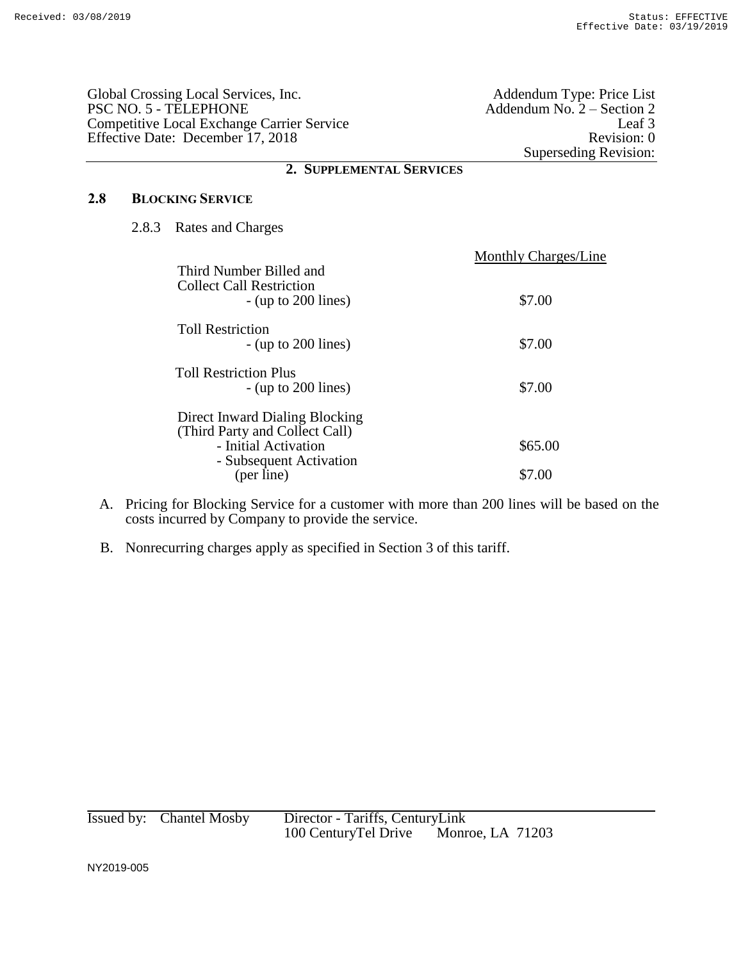|     | Global Crossing Local Services, Inc.<br>PSC NO. 5 - TELEPHONE<br>Competitive Local Exchange Carrier Service<br>Effective Date: December 17, 2018 | Addendum Type: Price List<br>Addendum No. $2 -$ Section 2<br>Leaf <sub>3</sub><br>Revision: 0<br>Superseding Revision: |
|-----|--------------------------------------------------------------------------------------------------------------------------------------------------|------------------------------------------------------------------------------------------------------------------------|
|     | 2. SUPPLEMENTAL SERVICES                                                                                                                         |                                                                                                                        |
| 2.8 | <b>BLOCKING SERVICE</b>                                                                                                                          |                                                                                                                        |
|     | 2.8.3 Rates and Charges                                                                                                                          |                                                                                                                        |
|     |                                                                                                                                                  | Monthly Charges/Line                                                                                                   |

| Third Number Billed and<br><b>Collect Call Restriction</b><br>$-$ (up to 200 lines) | \$7.00  |
|-------------------------------------------------------------------------------------|---------|
| <b>Toll Restriction</b><br>$-$ (up to 200 lines)                                    | \$7.00  |
| <b>Toll Restriction Plus</b><br>$-$ (up to 200 lines)                               | \$7.00  |
| Direct Inward Dialing Blocking<br>(Third Party and Collect Call)                    |         |
| - Initial Activation<br>- Subsequent Activation                                     | \$65.00 |
| (per line)                                                                          |         |

- A. Pricing for Blocking Service for a customer with more than 200 lines will be based on the costs incurred by Company to provide the service.
- B. Nonrecurring charges apply as specified in Section 3 of this tariff.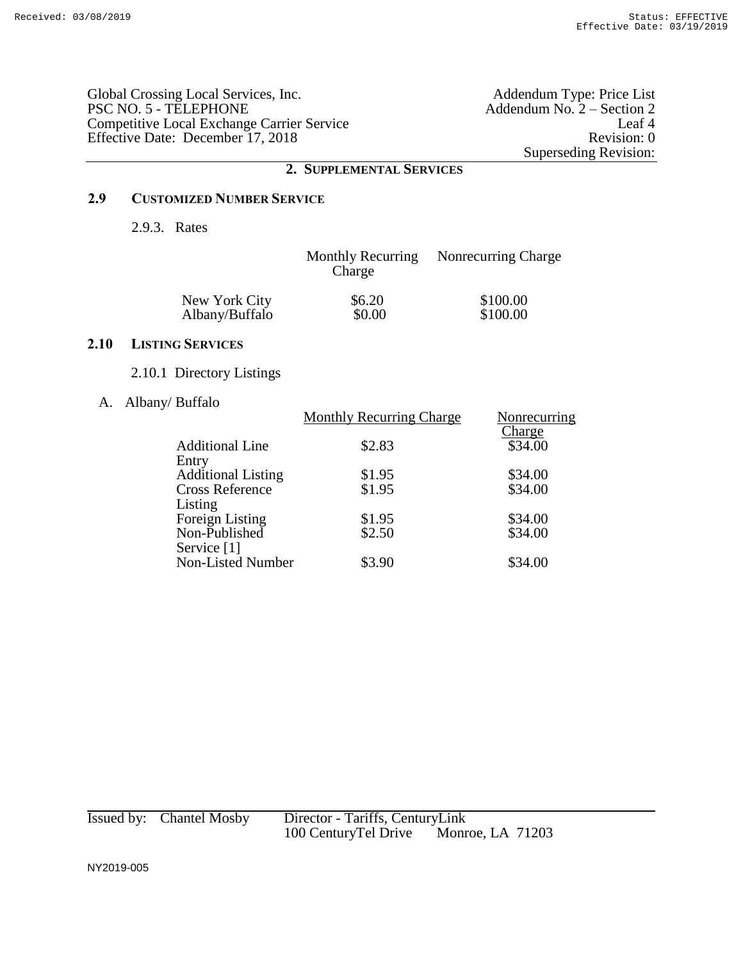Global Crossing Local Services, Inc.<br>PSC NO. 5 - TELEPHONE Competitive Local Exchange Carrier Service Leaf 4 Effective Date: December 17, 2018 Revision: 0

Addendum Type: Price List<br>Addendum No. 2 – Section 2<br>Leaf 4 Superseding Revision:

## **2. SUPPLEMENTAL SERVICES**

## **2.9 CUSTOMIZED NUMBER SERVICE**

2.9.3. Rates

|                | <b>Monthly Recurring</b><br>Charge | Nonrecurring Charge |
|----------------|------------------------------------|---------------------|
| New York City  | \$6.20                             | \$100.00            |
| Albany/Buffalo | \$0.00                             | \$100.00            |

## **2.10 LISTING SERVICES**

- 2.10.1 Directory Listings
- A. Albany/ Buffalo

| <b>Monthly Recurring Charge</b> | Nonrecurring                                   |
|---------------------------------|------------------------------------------------|
|                                 | Charge                                         |
|                                 | \$34.00                                        |
|                                 |                                                |
|                                 | \$34.00                                        |
|                                 | \$34.00                                        |
|                                 |                                                |
|                                 | \$34.00                                        |
|                                 | \$34.00                                        |
|                                 |                                                |
| \$3.90                          | \$34.00                                        |
|                                 | \$2.83<br>\$1.95<br>\$1.95<br>\$1.95<br>\$2.50 |

| Issued by: Chantel Mosby | Director - Tariffs, CenturyLink                 |  |
|--------------------------|-------------------------------------------------|--|
|                          | <b>Monroe, LA 71203</b><br>100 CenturyTel Drive |  |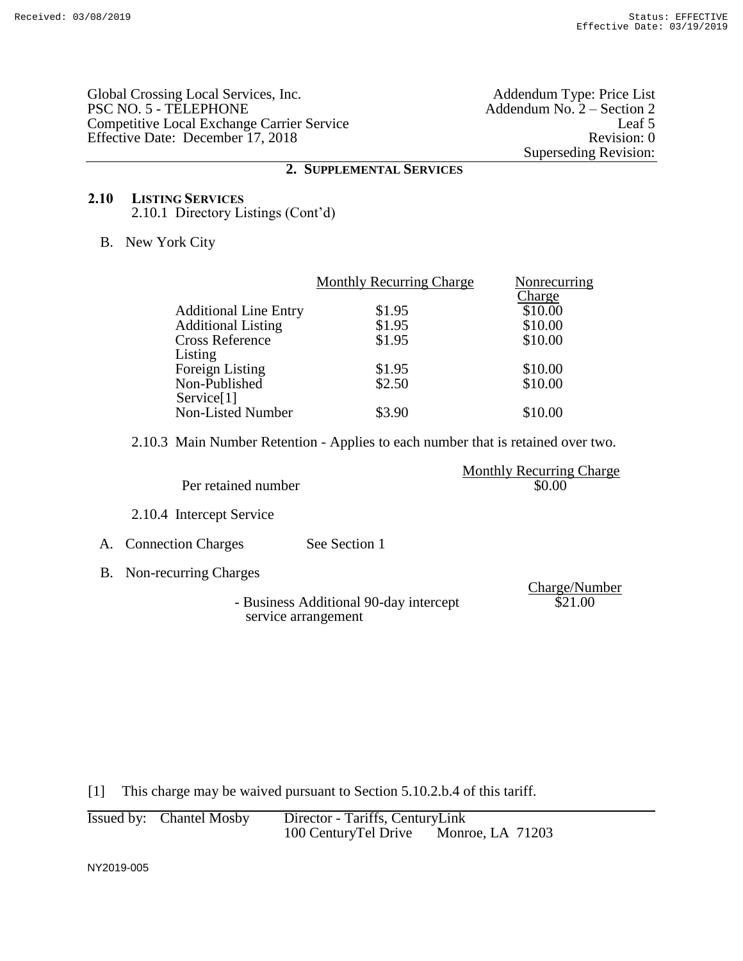Global Crossing Local Services, Inc. Addendum Type: Price List PSC NO. 5 - TELEPHONE Addendum No. 2 – Section 2 Competitive Local Exchange Carrier Service Leaf 5 Effective Date: December 17, 2018 Revision: 0

Superseding Revision:

### **2. SUPPLEMENTAL SERVICES**

### **2.10 LISTING SERVICES** 2.10.1 Directory Listings (Cont'd)

B. New York City

| Nonrecurring |
|--------------|
|              |
|              |
|              |
|              |
|              |
|              |
|              |
|              |
|              |
|              |

2.10.3 Main Number Retention - Applies to each number that is retained over two.

|                     | <b>Monthly Recurring Charge</b> |
|---------------------|---------------------------------|
| Per retained number | \$0.00                          |

2.10.4 Intercept Service

# A. Connection Charges See Section 1

- B. Non-recurring Charges
	- Business Additional 90-day intercept service arrangement

Charge/Number \$21.00

[1] This charge may be waived pursuant to Section 5.10.2.b.4 of this tariff.

| Issued by: Chantel Mosby | Director - Tariffs, CenturyLink |                         |
|--------------------------|---------------------------------|-------------------------|
|                          | 100 CenturyTel Drive            | <b>Monroe, LA 71203</b> |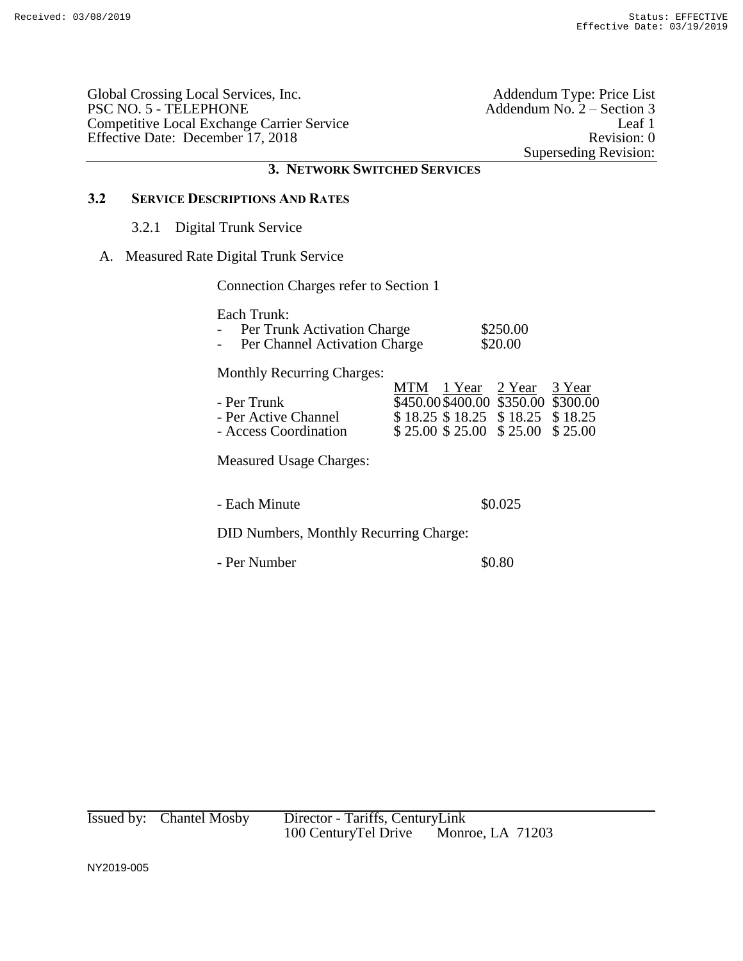Global Crossing Local Services, Inc.<br>
PSC NO. 5 - TELEPHONE Addendum No. 2 – Section 3 Competitive Local Exchange Carrier Service Leaf 1 Effective Date: December 17, 2018 Revision: 0

Addendum No.  $2 -$  Section 3 Superseding Revision:

## **3. NETWORK SWITCHED SERVICES**

## **3.2 SERVICE DESCRIPTIONS AND RATES**

#### 3.2.1 Digital Trunk Service

## A. Measured Rate Digital Trunk Service

Connection Charges refer to Section 1

Each Trunk:

| $\overline{\phantom{0}}$ | Per Trunk Activation Charge   | \$250.00 |
|--------------------------|-------------------------------|----------|
| $\overline{\phantom{0}}$ | Per Channel Activation Charge | \$20.00  |

Monthly Recurring Charges:

| - Per Trunk<br>- Per Active Channel<br>- Access Coordination | MTM 1 Year 2 Year 3 Year<br>\$450.00\$400.00\$350.00\$300.00<br>$$18.25$ \$18.25 \$18.25 \$18.25<br>$$25.00 \$25.00 \$25.00 \$25.00 \$25.00$ |  |
|--------------------------------------------------------------|----------------------------------------------------------------------------------------------------------------------------------------------|--|
| Measured Usage Charges:                                      |                                                                                                                                              |  |

- Each Minute  $\$0.025$ 

DID Numbers, Monthly Recurring Charge:

- Per Number  $\$0.80$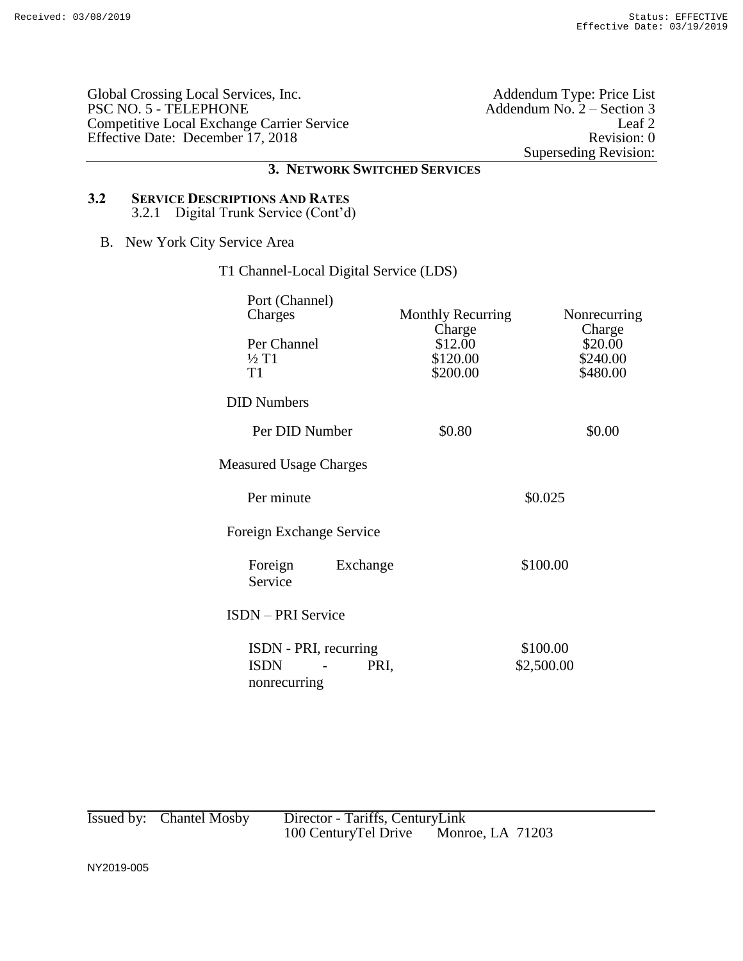Global Crossing Local Services, Inc.<br>PSC NO. 5 - TELEPHONE Competitive Local Exchange Carrier Service Effective Date: December 17, 2018 Revision: 0

Addendum Type: Price List<br>Addendum No. 2 – Section 3<br>Leaf 2 Superseding Revision:

## **3. NETWORK SWITCHED SERVICES**

## **3.2 SERVICE DESCRIPTIONS AND RATES** 3.2.1 Digital Trunk Service (Cont'd)

B. New York City Service Area

# T1 Channel-Local Digital Service (LDS)

| Port (Channel)<br>Charges                                    | <b>Monthly Recurring</b>                  | Nonrecurring                              |  |
|--------------------------------------------------------------|-------------------------------------------|-------------------------------------------|--|
| Per Channel<br>$\frac{1}{2}$ T1<br>T1                        | Charge<br>\$12.00<br>\$120.00<br>\$200.00 | Charge<br>\$20.00<br>\$240.00<br>\$480.00 |  |
| <b>DID Numbers</b>                                           |                                           |                                           |  |
| Per DID Number                                               | \$0.80                                    | \$0.00                                    |  |
| <b>Measured Usage Charges</b>                                |                                           |                                           |  |
| Per minute                                                   | \$0.025                                   |                                           |  |
| Foreign Exchange Service                                     |                                           |                                           |  |
| Foreign<br>Exchange<br>Service                               |                                           | \$100.00                                  |  |
| <b>ISDN</b> – PRI Service                                    |                                           |                                           |  |
| ISDN - PRI, recurring<br><b>ISDN</b><br>PRI,<br>nonrecurring |                                           | \$100.00<br>\$2,500.00                    |  |

Issued by: Chantel Mosby Director - Tariffs, CenturyLink<br>100 CenturyTel Drive Monroe, LA 71203 100 CenturyTel Drive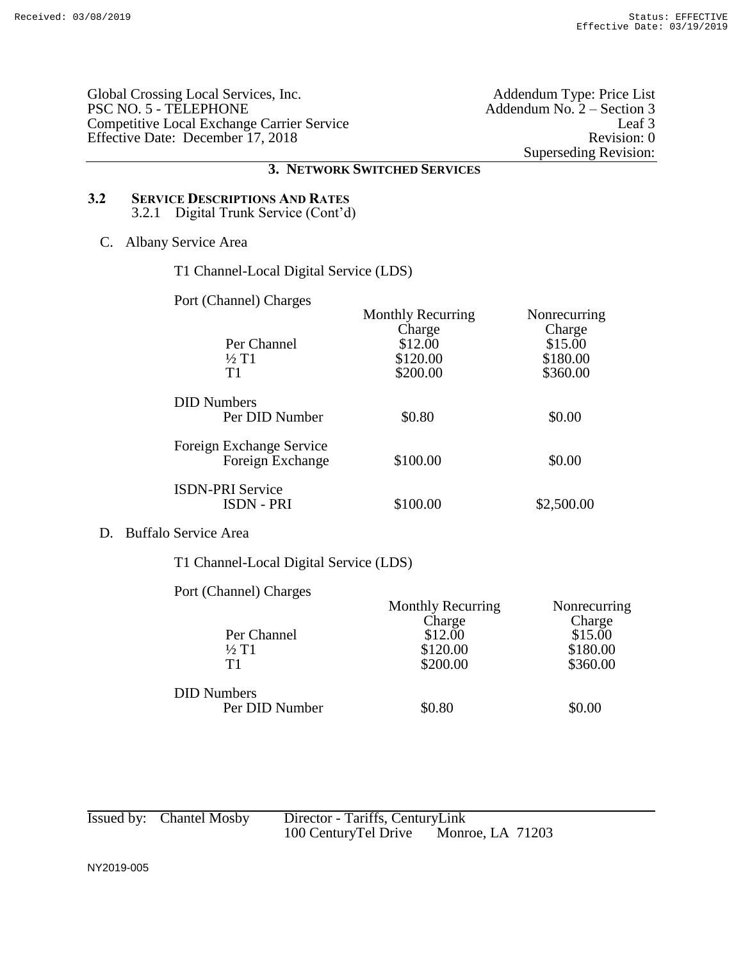Global Crossing Local Services, Inc.<br>
PSC NO. 5 - TELEPHONE Addendum No. 2 – Section 3 Competitive Local Exchange Carrier Service Effective Date: December 17, 2018 Revision: 0

Addendum No.  $2 -$  Section 3<br>Leaf 3 Superseding Revision:

## **3. NETWORK SWITCHED SERVICES**

## **3.2 SERVICE DESCRIPTIONS AND RATES** 3.2.1 Digital Trunk Service (Cont'd)

## C. Albany Service Area

T1 Channel-Local Digital Service (LDS)

Port (Channel) Charges

|                          | <b>Monthly Recurring</b> | Nonrecurring |
|--------------------------|--------------------------|--------------|
|                          | Charge                   | Charge       |
| Per Channel              | \$12.00                  | \$15.00      |
| $\frac{1}{2}$ T1         | \$120.00                 | \$180.00     |
| T1                       | \$200.00                 | \$360.00     |
| <b>DID Numbers</b>       |                          |              |
| Per DID Number           | \$0.80                   | \$0.00       |
| Foreign Exchange Service |                          |              |
| Foreign Exchange         | \$100.00                 | \$0.00       |
| <b>ISDN-PRI Service</b>  |                          |              |
| ISDN - PRI               | \$100.00                 | \$2,500.00   |

## D. Buffalo Service Area

T1 Channel-Local Digital Service (LDS)

## Port (Channel) Charges

| $1$ ore (Channel) Changes |                          |              |
|---------------------------|--------------------------|--------------|
|                           | <b>Monthly Recurring</b> | Nonrecurring |
|                           | Charge                   | Charge       |
| Per Channel               | \$12.00                  | \$15.00      |
| $\frac{1}{2}$ T1          | \$120.00                 | \$180.00     |
| T1                        | \$200.00                 | \$360.00     |
| <b>DID Numbers</b>        |                          |              |
| Per DID Number            | \$0.80                   | \$0.00       |
|                           |                          |              |

| Issued by: Chantel Mosby | Director - Tariffs, CenturyLink |                  |  |
|--------------------------|---------------------------------|------------------|--|
|                          | 100 CenturyTel Drive            | Monroe, LA 71203 |  |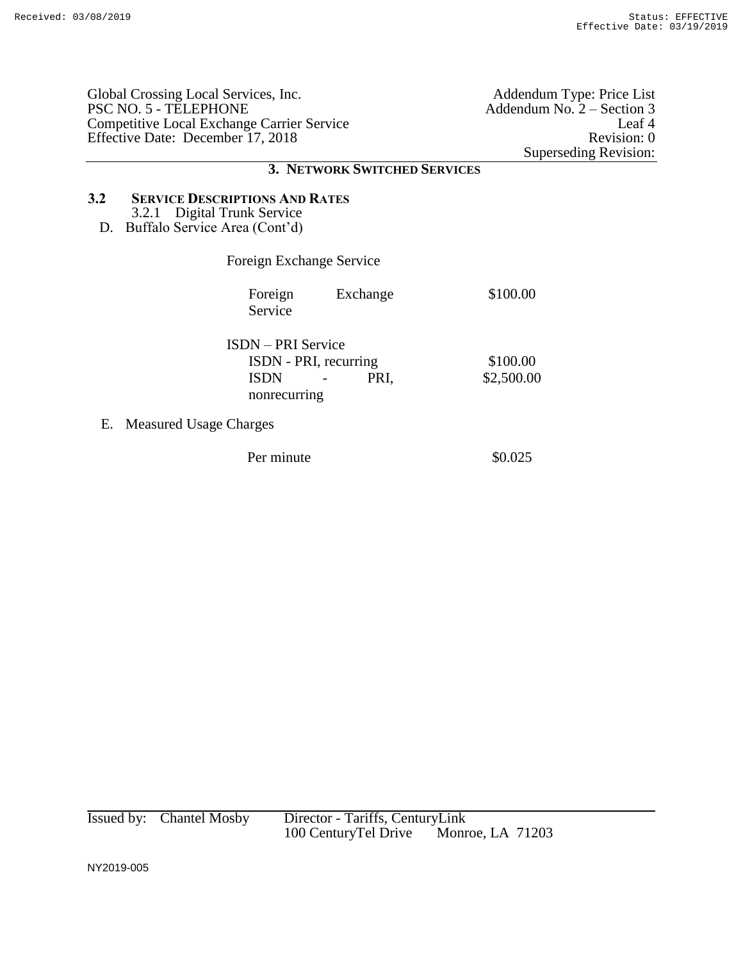|     | Global Crossing Local Services, Inc.<br>PSC NO. 5 - TELEPHONE<br>Competitive Local Exchange Carrier Service<br>Effective Date: December 17, 2018 |                              | Addendum Type: Price List<br>Addendum No. 2 – Section 3<br>Leaf 4<br>Revision: 0<br>Superseding Revision: |
|-----|--------------------------------------------------------------------------------------------------------------------------------------------------|------------------------------|-----------------------------------------------------------------------------------------------------------|
|     |                                                                                                                                                  | 3. NETWORK SWITCHED SERVICES |                                                                                                           |
| 3.2 | <b>SERVICE DESCRIPTIONS AND RATES</b><br>3.2.1 Digital Trunk Service<br>D. Buffalo Service Area (Cont'd)                                         |                              |                                                                                                           |
|     | Foreign Exchange Service                                                                                                                         |                              |                                                                                                           |
|     | Foreign<br>Service                                                                                                                               | Exchange                     | \$100.00                                                                                                  |
|     | <b>ISDN</b> – PRI Service<br>ISDN - PRI, recurring<br><b>ISDN</b><br>nonrecurring                                                                | PRI,                         | \$100.00<br>\$2,500.00                                                                                    |
| Е.  | <b>Measured Usage Charges</b>                                                                                                                    |                              |                                                                                                           |
|     | Per minute                                                                                                                                       |                              | \$0.025                                                                                                   |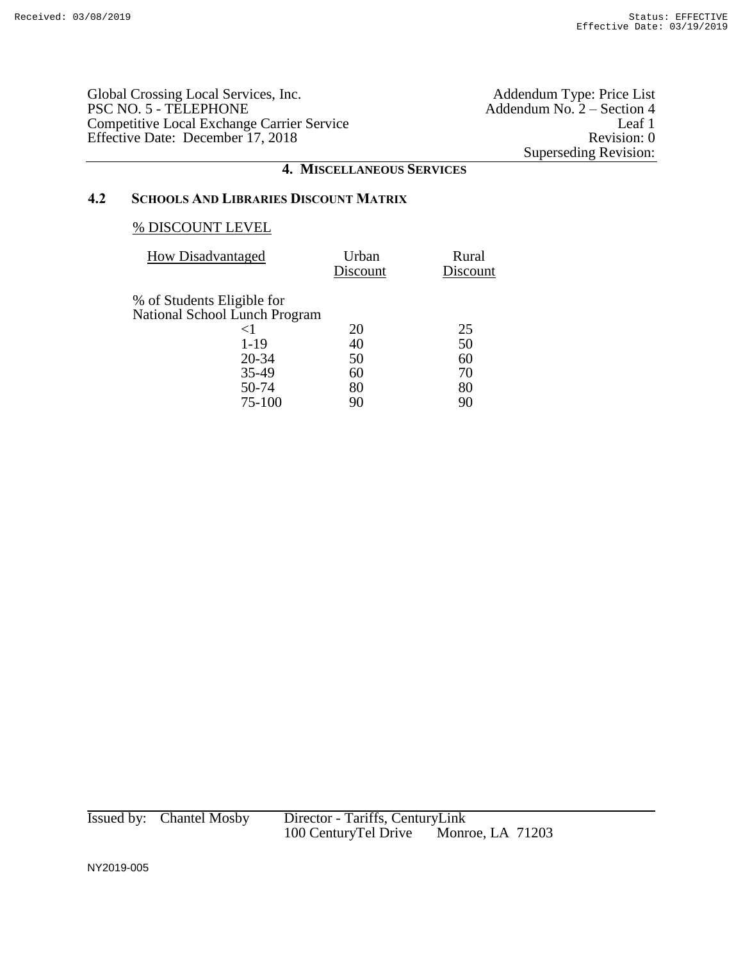Global Crossing Local Services, Inc.<br>PSC NO. 5 - TELEPHONE Competitive Local Exchange Carrier Service Leaf 1 Effective Date: December 17, 2018 Revision: 0

Addendum Type: Price List<br>Addendum No. 2 – Section 4<br>Leaf 1 Superseding Revision:

## **4. MISCELLANEOUS SERVICES**

## **4.2 SCHOOLS AND LIBRARIES DISCOUNT MATRIX**

### % DISCOUNT LEVEL

| <b>How Disadvantaged</b>             | Urban<br>Discount | Rural<br>Discount |
|--------------------------------------|-------------------|-------------------|
| % of Students Eligible for           |                   |                   |
| <b>National School Lunch Program</b> |                   |                   |
| ${<}1$                               | 20                | 25                |
| $1 - 19$                             | 40                | 50                |
| 20-34                                | 50                | 60                |
| 35-49                                | 60                | 70                |
| 50-74                                | 80                | 80                |
| 75-100                               | 90                | 90                |